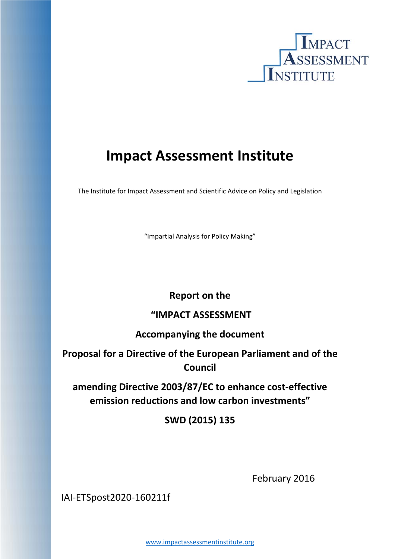

# **Impact Assessment Institute**

The Institute for Impact Assessment and Scientific Advice on Policy and Legislation

"Impartial Analysis for Policy Making"

# **Report on the**

# **"IMPACT ASSESSMENT**

# **Accompanying the document**

**Proposal for a Directive of the European Parliament and of the Council**

**amending Directive 2003/87/EC to enhance cost‐effective emission reductions and low carbon investments"** 

**SWD (2015) 135**

 February 2016

IAI‐ETSpost2020‐160211f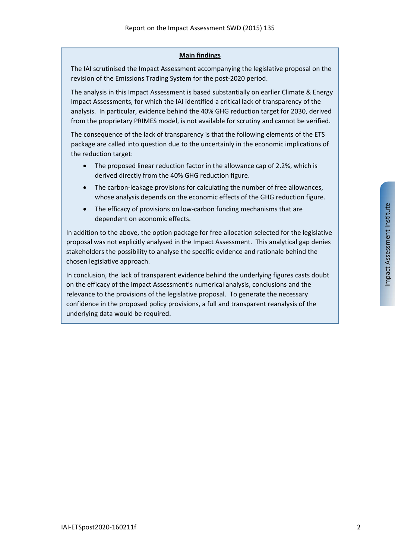#### **Main findings**

The IAI scrutinised the Impact Assessment accompanying the legislative proposal on the revision of the Emissions Trading System for the post-2020 period.

The analysis in this Impact Assessment is based substantially on earlier Climate & Energy Impact Assessments, for which the IAI identified a critical lack of transparency of the analysis. In particular, evidence behind the 40% GHG reduction target for 2030, derived from the proprietary PRIMES model, is not available for scrutiny and cannot be verified.

The consequence of the lack of transparency is that the following elements of the ETS package are called into question due to the uncertainly in the economic implications of the reduction target:

- The proposed linear reduction factor in the allowance cap of 2.2%, which is derived directly from the 40% GHG reduction figure.
- The carbon-leakage provisions for calculating the number of free allowances, whose analysis depends on the economic effects of the GHG reduction figure.
- The efficacy of provisions on low‐carbon funding mechanisms that are dependent on economic effects.

In addition to the above, the option package for free allocation selected for the legislative proposal was not explicitly analysed in the Impact Assessment. This analytical gap denies stakeholders the possibility to analyse the specific evidence and rationale behind the chosen legislative approach.

In conclusion, the lack of transparent evidence behind the underlying figures casts doubt on the efficacy of the Impact Assessment's numerical analysis, conclusions and the relevance to the provisions of the legislative proposal. To generate the necessary confidence in the proposed policy provisions, a full and transparent reanalysis of the underlying data would be required.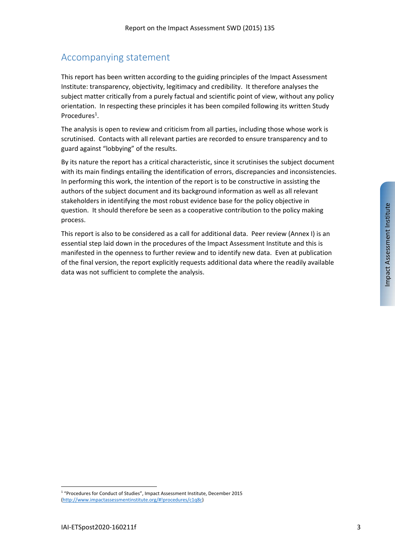### Accompanying statement

This report has been written according to the guiding principles of the Impact Assessment Institute: transparency, objectivity, legitimacy and credibility. It therefore analyses the subject matter critically from a purely factual and scientific point of view, without any policy orientation. In respecting these principles it has been compiled following its written Study Procedures<sup>1</sup>.

The analysis is open to review and criticism from all parties, including those whose work is scrutinised. Contacts with all relevant parties are recorded to ensure transparency and to guard against "lobbying" of the results.

By its nature the report has a critical characteristic, since it scrutinises the subject document with its main findings entailing the identification of errors, discrepancies and inconsistencies. In performing this work, the intention of the report is to be constructive in assisting the authors of the subject document and its background information as well as all relevant stakeholders in identifying the most robust evidence base for the policy objective in question. It should therefore be seen as a cooperative contribution to the policy making process.

This report is also to be considered as a call for additional data. Peer review (Annex I) is an essential step laid down in the procedures of the Impact Assessment Institute and this is manifested in the openness to further review and to identify new data. Even at publication of the final version, the report explicitly requests additional data where the readily available data was not sufficient to complete the analysis.

<sup>1</sup> "Procedures for Conduct of Studies", Impact Assessment Institute, December 2015 (http://www.impactassessmentinstitute.org/#!procedures/c1q8c)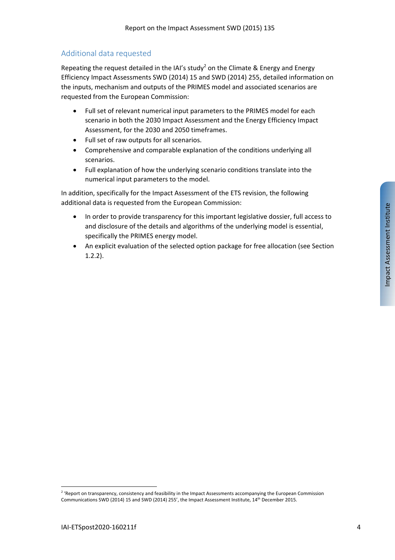#### Additional data requested

Repeating the request detailed in the IAI's study<sup>2</sup> on the Climate & Energy and Energy Efficiency Impact Assessments SWD (2014) 15 and SWD (2014) 255, detailed information on the inputs, mechanism and outputs of the PRIMES model and associated scenarios are requested from the European Commission:

- Full set of relevant numerical input parameters to the PRIMES model for each scenario in both the 2030 Impact Assessment and the Energy Efficiency Impact Assessment, for the 2030 and 2050 timeframes.
- Full set of raw outputs for all scenarios.
- Comprehensive and comparable explanation of the conditions underlying all scenarios.
- Full explanation of how the underlying scenario conditions translate into the numerical input parameters to the model.

In addition, specifically for the Impact Assessment of the ETS revision, the following additional data is requested from the European Commission:

- In order to provide transparency for this important legislative dossier, full access to and disclosure of the details and algorithms of the underlying model is essential, specifically the PRIMES energy model.
- An explicit evaluation of the selected option package for free allocation (see Section 1.2.2).

<sup>&</sup>lt;sup>2</sup> 'Report on transparency, consistency and feasibility in the Impact Assessments accompanying the European Commission Communications SWD (2014) 15 and SWD (2014) 255', the Impact Assessment Institute, 14th December 2015.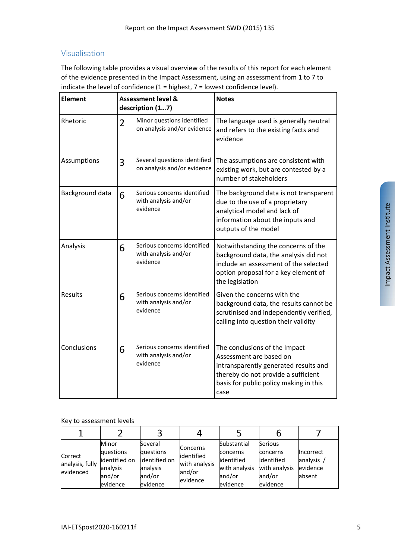#### Visualisation

The following table provides a visual overview of the results of this report for each element of the evidence presented in the Impact Assessment, using an assessment from 1 to 7 to indicate the level of confidence  $(1 =$  highest,  $7 =$  lowest confidence level).

| <b>Element</b>  | <b>Assessment level &amp;</b><br>description (17) |                                                                 | <b>Notes</b>                                                                                                                                                                               |  |  |
|-----------------|---------------------------------------------------|-----------------------------------------------------------------|--------------------------------------------------------------------------------------------------------------------------------------------------------------------------------------------|--|--|
| Rhetoric        | $\overline{2}$                                    | Minor questions identified<br>on analysis and/or evidence       | The language used is generally neutral<br>and refers to the existing facts and<br>evidence                                                                                                 |  |  |
| Assumptions     | 3                                                 | Several questions identified<br>on analysis and/or evidence     | The assumptions are consistent with<br>existing work, but are contested by a<br>number of stakeholders                                                                                     |  |  |
| Background data | 6                                                 | Serious concerns identified<br>with analysis and/or<br>evidence | The background data is not transparent<br>due to the use of a proprietary<br>analytical model and lack of<br>information about the inputs and<br>outputs of the model                      |  |  |
| Analysis        | 6                                                 | Serious concerns identified<br>with analysis and/or<br>evidence | Notwithstanding the concerns of the<br>background data, the analysis did not<br>include an assessment of the selected<br>option proposal for a key element of<br>the legislation           |  |  |
| Results         | 6                                                 | Serious concerns identified<br>with analysis and/or<br>evidence | Given the concerns with the<br>background data, the results cannot be<br>scrutinised and independently verified,<br>calling into question their validity                                   |  |  |
| Conclusions     | 6                                                 | Serious concerns identified<br>with analysis and/or<br>evidence | The conclusions of the Impact<br>Assessment are based on<br>intransparently generated results and<br>thereby do not provide a sufficient<br>basis for public policy making in this<br>case |  |  |

#### Key to assessment levels

| Correct<br>analysis, fully<br>evidenced | Minor<br>questions<br>identified on<br>analysis<br>and/or<br>evidence | Several<br>questions<br>identified on<br>analysis<br>and/or<br>evidence | <b>Concerns</b><br>identified<br>with analysis<br>and/or<br>evidence | Substantial<br>concerns<br>lidentified<br>with analysis<br>and/or<br>evidence | Serious<br>concerns<br>lidentified<br>with analysis<br>and/or<br>evidence | <b>Incorrect</b><br>analysis<br>evidence<br>absent |
|-----------------------------------------|-----------------------------------------------------------------------|-------------------------------------------------------------------------|----------------------------------------------------------------------|-------------------------------------------------------------------------------|---------------------------------------------------------------------------|----------------------------------------------------|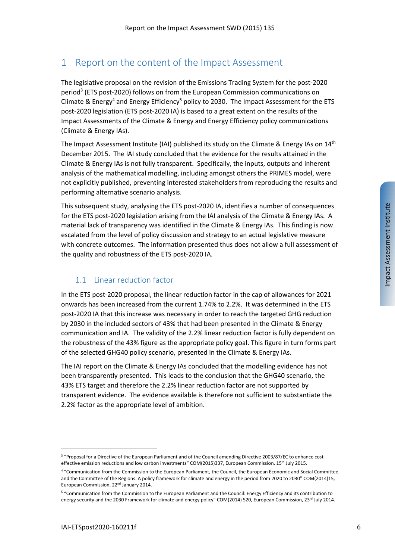## 1 Report on the content of the Impact Assessment

The legislative proposal on the revision of the Emissions Trading System for the post‐2020 period3 (ETS post‐2020) follows on from the European Commission communications on Climate & Energy<sup>4</sup> and Energy Efficiency<sup>5</sup> policy to 2030. The Impact Assessment for the ETS post-2020 legislation (ETS post-2020 IA) is based to a great extent on the results of the Impact Assessments of the Climate & Energy and Energy Efficiency policy communications (Climate & Energy IAs).

The Impact Assessment Institute (IAI) published its study on the Climate & Energy IAs on  $14<sup>th</sup>$ December 2015. The IAI study concluded that the evidence for the results attained in the Climate & Energy IAs is not fully transparent. Specifically, the inputs, outputs and inherent analysis of the mathematical modelling, including amongst others the PRIMES model, were not explicitly published, preventing interested stakeholders from reproducing the results and performing alternative scenario analysis.

This subsequent study, analysing the ETS post‐2020 IA, identifies a number of consequences for the ETS post-2020 legislation arising from the IAI analysis of the Climate & Energy IAs. A material lack of transparency was identified in the Climate & Energy IAs. This finding is now escalated from the level of policy discussion and strategy to an actual legislative measure with concrete outcomes. The information presented thus does not allow a full assessment of the quality and robustness of the ETS post‐2020 IA.

### 1.1 Linear reduction factor

In the ETS post‐2020 proposal, the linear reduction factor in the cap of allowances for 2021 onwards has been increased from the current 1.74% to 2.2%. It was determined in the ETS post-2020 IA that this increase was necessary in order to reach the targeted GHG reduction by 2030 in the included sectors of 43% that had been presented in the Climate & Energy communication and IA. The validity of the 2.2% linear reduction factor is fully dependent on the robustness of the 43% figure as the appropriate policy goal. This figure in turn forms part of the selected GHG40 policy scenario, presented in the Climate & Energy IAs.

The IAI report on the Climate & Energy IAs concluded that the modelling evidence has not been transparently presented. This leads to the conclusion that the GHG40 scenario, the 43% ETS target and therefore the 2.2% linear reduction factor are not supported by transparent evidence. The evidence available is therefore not sufficient to substantiate the 2.2% factor as the appropriate level of ambition.

<sup>&</sup>lt;sup>3</sup> "Proposal for a Directive of the European Parliament and of the Council amending Directive 2003/87/EC to enhance costeffective emission reductions and low carbon investments" COM(2015)337, European Commission, 15<sup>th</sup> July 2015.

<sup>4</sup> "Communication from the Commission to the European Parliament, the Council, the European Economic and Social Committee and the Committee of the Regions: A policy framework for climate and energy in the period from 2020 to 2030" COM(2014)15, European Commission, 22<sup>nd</sup> January 2014.

<sup>5</sup> "Communication from the Commission to the European Parliament and the Council: Energy Efficiency and its contribution to energy security and the 2030 Framework for climate and energy policy" COM(2014) 520, European Commission, 23<sup>rd</sup> July 2014.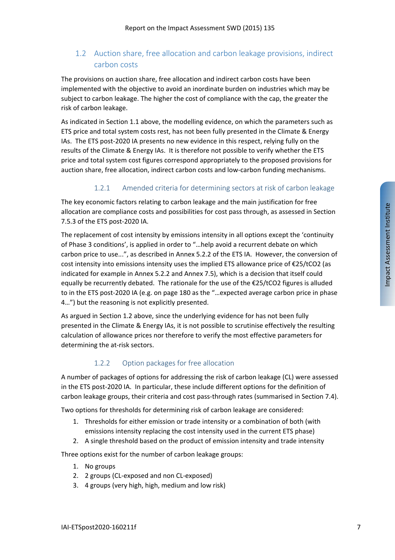### 1.2 Auction share, free allocation and carbon leakage provisions, indirect carbon costs

The provisions on auction share, free allocation and indirect carbon costs have been implemented with the objective to avoid an inordinate burden on industries which may be subject to carbon leakage. The higher the cost of compliance with the cap, the greater the risk of carbon leakage.

As indicated in Section 1.1 above, the modelling evidence, on which the parameters such as ETS price and total system costs rest, has not been fully presented in the Climate & Energy IAs. The ETS post-2020 IA presents no new evidence in this respect, relying fully on the results of the Climate & Energy IAs. It is therefore not possible to verify whether the ETS price and total system cost figures correspond appropriately to the proposed provisions for auction share, free allocation, indirect carbon costs and low-carbon funding mechanisms.

#### 1.2.1 Amended criteria for determining sectors at risk of carbon leakage

The key economic factors relating to carbon leakage and the main justification for free allocation are compliance costs and possibilities for cost pass through, as assessed in Section 7.5.3 of the ETS post‐2020 IA.

The replacement of cost intensity by emissions intensity in all options except the 'continuity of Phase 3 conditions', is applied in order to "…help avoid a recurrent debate on which carbon price to use...", as described in Annex 5.2.2 of the ETS IA. However, the conversion of cost intensity into emissions intensity uses the implied ETS allowance price of €25/tCO2 (as indicated for example in Annex 5.2.2 and Annex 7.5), which is a decision that itself could equally be recurrently debated. The rationale for the use of the €25/tCO2 figures is alluded to in the ETS post‐2020 IA (e.g. on page 180 as the "…expected average carbon price in phase 4…") but the reasoning is not explicitly presented.

As argued in Section 1.2 above, since the underlying evidence for has not been fully presented in the Climate & Energy IAs, it is not possible to scrutinise effectively the resulting calculation of allowance prices nor therefore to verify the most effective parameters for determining the at‐risk sectors.

#### 1.2.2 Option packages for free allocation

A number of packages of options for addressing the risk of carbon leakage (CL) were assessed in the ETS post‐2020 IA. In particular, these include different options for the definition of carbon leakage groups, their criteria and cost pass-through rates (summarised in Section 7.4).

Two options for thresholds for determining risk of carbon leakage are considered:

- 1. Thresholds for either emission or trade intensity or a combination of both (with emissions intensity replacing the cost intensity used in the current ETS phase)
- 2. A single threshold based on the product of emission intensity and trade intensity

Three options exist for the number of carbon leakage groups:

- 1. No groups
- 2. 2 groups (CL-exposed and non CL-exposed)
- 3. 4 groups (very high, high, medium and low risk)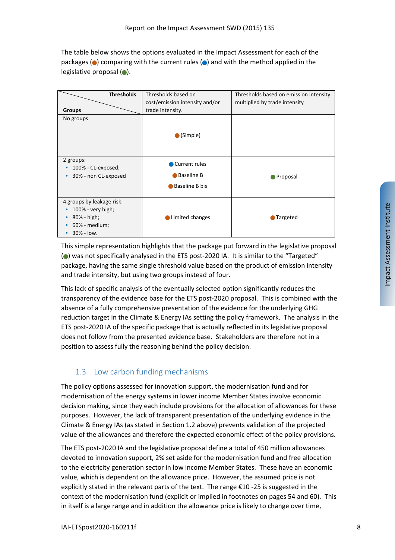The table below shows the options evaluated in the Impact Assessment for each of the packages ( $\bullet$ ) comparing with the current rules ( $\bullet$ ) and with the method applied in the legislative proposal  $(\bullet)$ .

| <b>Thresholds</b><br><b>Groups</b>                                                                        | Thresholds based on<br>cost/emission intensity and/or<br>trade intensity. | Thresholds based on emission intensity<br>multiplied by trade intensity |
|-----------------------------------------------------------------------------------------------------------|---------------------------------------------------------------------------|-------------------------------------------------------------------------|
| No groups                                                                                                 | $\bullet$ (Simple)                                                        |                                                                         |
| 2 groups:<br>100% - CL-exposed;<br>30% - non CL-exposed<br>٠                                              | Current rules<br><b>Baseline B</b><br>Baseline B bis                      | ● Proposal                                                              |
| 4 groups by leakage risk:<br>100% - very high;<br>80% - high;<br>٠<br>60% - medium;<br>$30\% - low.$<br>٠ | Limited changes                                                           | Targeted                                                                |

This simple representation highlights that the package put forward in the legislative proposal (●) was not specifically analysed in the ETS post-2020 IA. It is similar to the "Targeted" package, having the same single threshold value based on the product of emission intensity and trade intensity, but using two groups instead of four.

This lack of specific analysis of the eventually selected option significantly reduces the transparency of the evidence base for the ETS post‐2020 proposal. This is combined with the absence of a fully comprehensive presentation of the evidence for the underlying GHG reduction target in the Climate & Energy IAs setting the policy framework. The analysis in the ETS post‐2020 IA of the specific package that is actually reflected in its legislative proposal does not follow from the presented evidence base. Stakeholders are therefore not in a position to assess fully the reasoning behind the policy decision.

### 1.3 Low carbon funding mechanisms

The policy options assessed for innovation support, the modernisation fund and for modernisation of the energy systems in lower income Member States involve economic decision making, since they each include provisions for the allocation of allowances for these purposes. However, the lack of transparent presentation of the underlying evidence in the Climate & Energy IAs (as stated in Section 1.2 above) prevents validation of the projected value of the allowances and therefore the expected economic effect of the policy provisions.

The ETS post-2020 IA and the legislative proposal define a total of 450 million allowances devoted to innovation support, 2% set aside for the modernisation fund and free allocation to the electricity generation sector in low income Member States. These have an economic value, which is dependent on the allowance price. However, the assumed price is not explicitly stated in the relevant parts of the text. The range  $\epsilon$ 10 -25 is suggested in the context of the modernisation fund (explicit or implied in footnotes on pages 54 and 60). This in itself is a large range and in addition the allowance price is likely to change over time,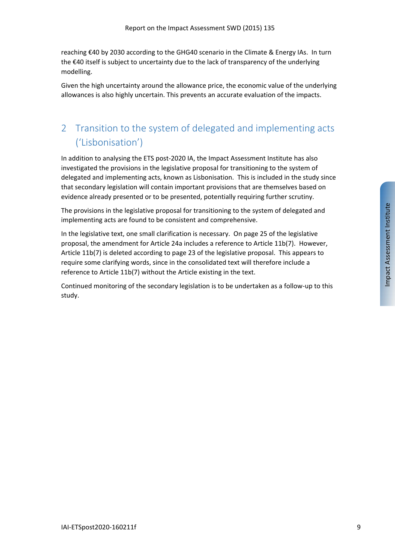reaching €40 by 2030 according to the GHG40 scenario in the Climate & Energy IAs. In turn the €40 itself is subject to uncertainty due to the lack of transparency of the underlying modelling.

Given the high uncertainty around the allowance price, the economic value of the underlying allowances is also highly uncertain. This prevents an accurate evaluation of the impacts.

# 2 Transition to the system of delegated and implementing acts ('Lisbonisation')

In addition to analysing the ETS post‐2020 IA, the Impact Assessment Institute has also investigated the provisions in the legislative proposal for transitioning to the system of delegated and implementing acts, known as Lisbonisation. This is included in the study since that secondary legislation will contain important provisions that are themselves based on evidence already presented or to be presented, potentially requiring further scrutiny.

The provisions in the legislative proposal for transitioning to the system of delegated and implementing acts are found to be consistent and comprehensive.

In the legislative text, one small clarification is necessary. On page 25 of the legislative proposal, the amendment for Article 24a includes a reference to Article 11b(7). However, Article 11b(7) is deleted according to page 23 of the legislative proposal. This appears to require some clarifying words, since in the consolidated text will therefore include a reference to Article 11b(7) without the Article existing in the text.

Continued monitoring of the secondary legislation is to be undertaken as a follow‐up to this study.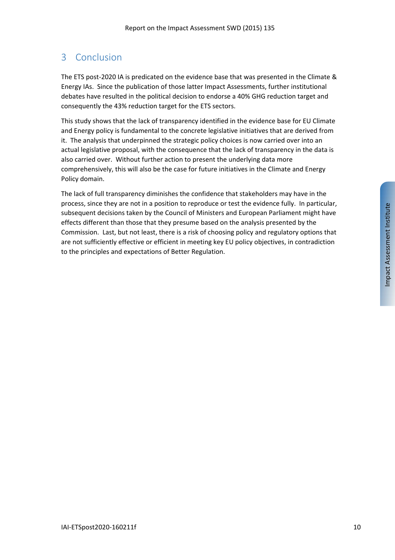# 3 Conclusion

The ETS post‐2020 IA is predicated on the evidence base that was presented in the Climate & Energy IAs. Since the publication of those latter Impact Assessments, further institutional debates have resulted in the political decision to endorse a 40% GHG reduction target and consequently the 43% reduction target for the ETS sectors.

This study shows that the lack of transparency identified in the evidence base for EU Climate and Energy policy is fundamental to the concrete legislative initiatives that are derived from it. The analysis that underpinned the strategic policy choices is now carried over into an actual legislative proposal, with the consequence that the lack of transparency in the data is also carried over. Without further action to present the underlying data more comprehensively, this will also be the case for future initiatives in the Climate and Energy Policy domain.

The lack of full transparency diminishes the confidence that stakeholders may have in the process, since they are not in a position to reproduce or test the evidence fully. In particular, subsequent decisions taken by the Council of Ministers and European Parliament might have effects different than those that they presume based on the analysis presented by the Commission. Last, but not least, there is a risk of choosing policy and regulatory options that are not sufficiently effective or efficient in meeting key EU policy objectives, in contradiction to the principles and expectations of Better Regulation.